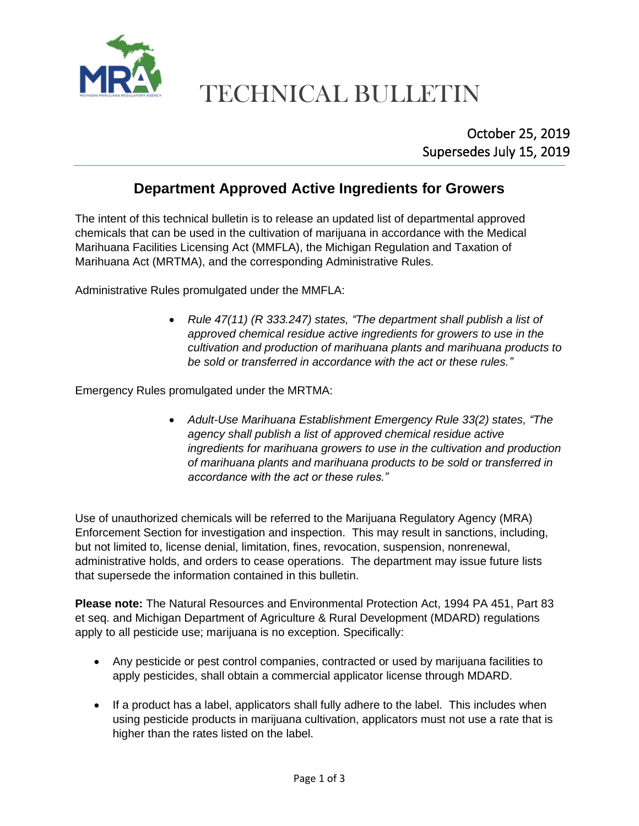

# TECHNICAL BULLETIN

### **Department Approved Active Ingredients for Growers**

The intent of this technical bulletin is to release an updated list of departmental approved chemicals that can be used in the cultivation of marijuana in accordance with the Medical Marihuana Facilities Licensing Act (MMFLA), the Michigan Regulation and Taxation of Marihuana Act (MRTMA), and the corresponding Administrative Rules.

Administrative Rules promulgated under the MMFLA:

• *Rule 47(11) (R 333.247) states, "The department shall publish a list of approved chemical residue active ingredients for growers to use in the cultivation and production of marihuana plants and marihuana products to be sold or transferred in accordance with the act or these rules."*

Emergency Rules promulgated under the MRTMA:

• *Adult-Use Marihuana Establishment Emergency Rule 33(2) states, "The agency shall publish a list of approved chemical residue active ingredients for marihuana growers to use in the cultivation and production of marihuana plants and marihuana products to be sold or transferred in accordance with the act or these rules."*

Use of unauthorized chemicals will be referred to the Marijuana Regulatory Agency (MRA) Enforcement Section for investigation and inspection. This may result in sanctions, including, but not limited to, license denial, limitation, fines, revocation, suspension, nonrenewal, administrative holds, and orders to cease operations. The department may issue future lists that supersede the information contained in this bulletin.

**Please note:** The Natural Resources and Environmental Protection Act, 1994 PA 451, Part 83 et seq. and Michigan Department of Agriculture & Rural Development (MDARD) regulations apply to all pesticide use; marijuana is no exception. Specifically:

- Any pesticide or pest control companies, contracted or used by marijuana facilities to apply pesticides, shall obtain a commercial applicator license through MDARD.
- If a product has a label, applicators shall fully adhere to the label. This includes when using pesticide products in marijuana cultivation, applicators must not use a rate that is higher than the rates listed on the label.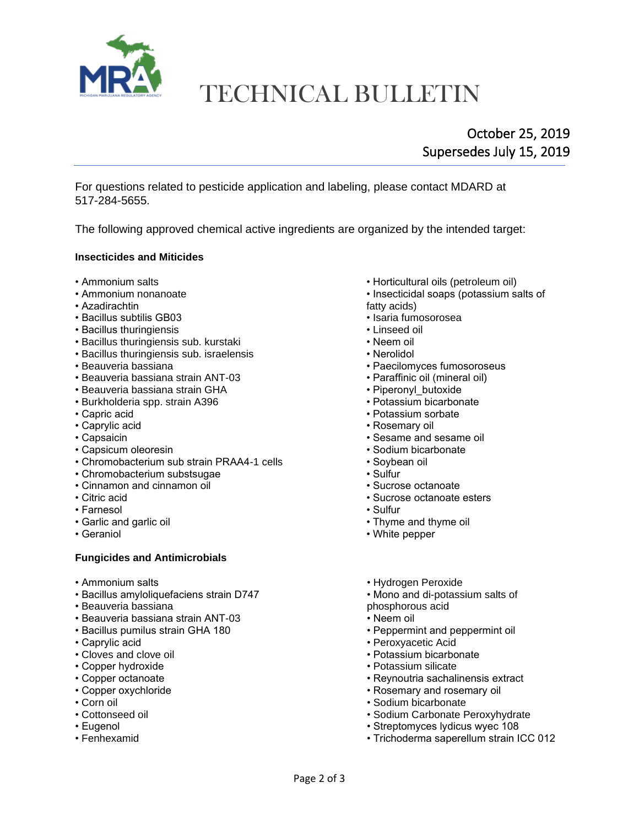

## TECHNICAL BULLETIN

### October 25, 2019 Supersedes July 15, 2019

For questions related to pesticide application and labeling, please contact MDARD at 517-284-5655.

The following approved chemical active ingredients are organized by the intended target:

#### **Insecticides and Miticides**

- 
- 
- 
- Azadirachtin fatty acids) • Bacillus subtilis GB03 • Isaria fumosorosea
- Bacillus thuringiensis
- Bacillus thuringiensis sub. kurstaki Neem oil
- Bacillus thuringiensis sub. israelensis Nerolidol
- 
- Beauveria bassiana strain ANT-03 Paraffinic oil (mineral oil)
- Beauveria bassiana strain GHA Piperonyl\_butoxide Purchine value in the value of the value of the value of the value of the value of the value of the value of the value of the value of the value of the value of the va
- Burkholderia spp. strain A396
- 
- 
- 
- 
- Chromobacterium sub strain PRAA4-1 cells Soybean oil
- Chromobacterium substsugae Chromobacterium substsugae Sulfur
- Cinnamon and cinnamon oil Sucrose octanoate
- 
- Farnesol Sulfur
- 
- 

#### **Fungicides and Antimicrobials**

- 
- Bacillus amyloliquefaciens strain D747 Mono and di-potassium salts of
- Beauveria bassiana phosphorous acid
- Beauveria bassiana strain ANT-03 Neem oil
- 
- 
- Cloves and clove oil
- 
- 
- 
- 
- 
- 
- 
- Ammonium salts Horticultural oils (petroleum oil)
- Ammonium nonanoate Insecticidal soaps (potassium salts of
	-
	-
	-
	-
	-
- Beauveria bassiana Paecilomyces fumosoroseus
	-
	-
	-
- Capric acid Potassium sorbate
	- Rosemary oil
- Capsaicin Sesame and sesame oil
- Capsicum oleoresin Sodium bicarbonate
	-
	-
	-
- Citric acid Sucrose octanoate esters
	-
- Garlic and garlic oil  **Thyme and thyme oil** Thyme and thyme oil
- Geraniol Nite pepper
- Ammonium salts **Ammonium salts** Hydrogen Peroxide
	-
	-
	-
- Bacillus pumilus strain GHA 180 Peppermint and peppermint oil
- Caprylic acid Peroxyacetic Acid
	-
- Copper hydroxide  **Potassium silicate** Potassium silicate
- Copper octanoate **Copper octanoate** Reynoutria sachalinensis extract
- Copper oxychloride Rosemary and rosemary oil
- Corn oil Corn oil Sodium bicarbonate
- Cottonseed oil  **Sodium Carbonate Peroxyhydrate** Sodium Carbonate Peroxyhydrate
- Eugenol Streptomyces lydicus wyec 108
- Fenhexamid Trichoderma saperellum strain ICC 012